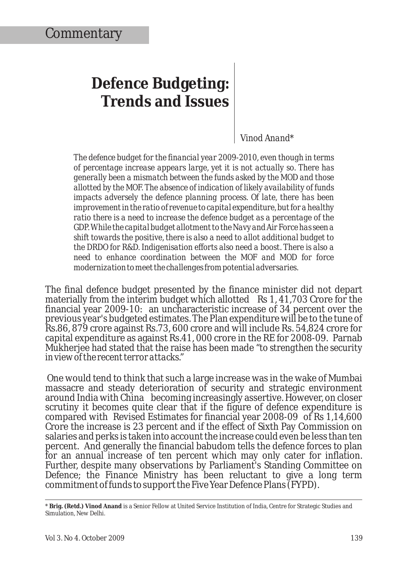## **Defence Budgeting: Trends and Issues**

*Vinod Anand\**

*The defence budget for the financial year 2009-2010, even though in terms of percentage increase appears large, yet it is not actually so. There has generally been a mismatch between the funds asked by the MOD and those allotted by the MOF. The absence of indication of likely availability of funds impacts adversely the defence planning process. Of late, there has been improvement in the ratio of revenue to capital expenditure, but for a healthy ratio there is a need to increase the defence budget as a percentage of the GDP. While the capital budget allotment to the Navy and Air Force has seen a shift towards the positive, there is also a need to allot additional budget to the DRDO for R&D. Indigenisation efforts also need a boost. There is also a need to enhance coordination between the MOF and MOD for force modernization to meet the challenges from potential adversaries.* 

The final defence budget presented by the finance minister did not depart materially from the interim budget which allotted Rs 1, 41,703 Crore for the financial year 2009-10: an uncharacteristic increase of 34 percent over the previous year's budgeted estimates. The Plan expenditure will be to the tune of Rs.86, 879 crore against Rs.73, 600 crore and will include Rs. 54,824 crore for capital expenditure as against Rs.41, 000 crore in the RE for 2008-09. Parnab Mukherjee had stated that the raise has been made "*to strengthen the security in view of the recent terror attacks*."

 One would tend to think that such a large increase was in the wake of Mumbai massacre and steady deterioration of security and strategic environment around India with China becoming increasingly assertive. However, on closer scrutiny it becomes quite clear that if the figure of defence expenditure is compared with Revised Estimates for financial year 2008-09 of Rs 1,14,600 Crore the increase is 23 percent and if the effect of Sixth Pay Commission on salaries and perks is taken into account the increase could even be less than ten percent. And generally the financial babudom tells the defence forces to plan for an annual increase of ten percent which may only cater for inflation. Further, despite many observations by Parliament's Standing Committee on Defence; the Finance Ministry has been reluctant to give a long term commitment of funds to support the Five Year Defence Plans (FYPD).

\* **Brig. (Retd.) Vinod Anand** is a Senior Fellow at United Service Institution of India, Centre for Strategic Studies and Simulation, New Delhi.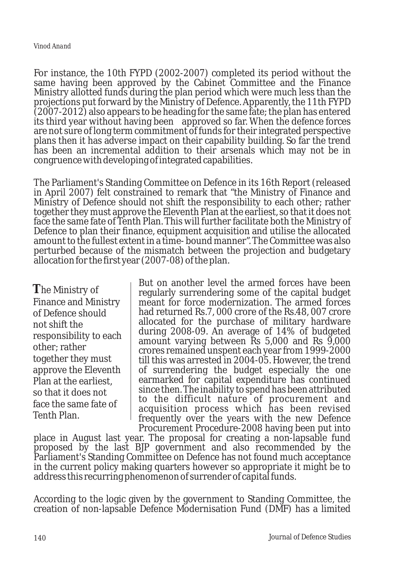For instance, the 10th FYPD (2002-2007) completed its period without the same having been approved by the Cabinet Committee and the Finance Ministry allotted funds during the plan period which were much less than the projections put forward by the Ministry of Defence. Apparently, the 11th FYPD (2007-2012) also appears to be heading for the same fate; the plan has entered its third year without having been approved so far. When the defence forces are not sure of long term commitment of funds for their integrated perspective plans then it has adverse impact on their capability building. So far the trend has been an incremental addition to their arsenals which may not be in congruence with developing of integrated capabilities.

The Parliament's Standing Committee on Defence in its 16th Report (released in April 2007) felt constrained to remark that "the Ministry of Finance and Ministry of Defence should not shift the responsibility to each other; rather together they must approve the Eleventh Plan at the earliest, so that it does not face the same fate of Tenth Plan. This will further facilitate both the Ministry of Defence to plan their finance, equipment acquisition and utilise the allocated amount to the fullest extent in a time- bound manner". The Committee was also perturbed because of the mismatch between the projection and budgetary allocation for the first year (2007-08) of the plan.

**T**he Ministry of Finance and Ministry of Defence should not shift the responsibility to each other; rather together they must approve the Eleventh Plan at the earliest, so that it does not face the same fate of Tenth Plan.

But on another level the armed forces have been regularly surrendering some of the capital budget meant for force modernization. The armed forces had returned Rs.7, 000 crore of the Rs.48, 007 crore allocated for the purchase of military hardware during 2008-09. An average of 14% of budgeted amount varying between Rs 5,000 and Rs 9,000 crores remained unspent each year from 1999-2000 till this was arrested in 2004-05. However, the trend of surrendering the budget especially the one earmarked for capital expenditure has continued since then. The inability to spend has been attributed to the difficult nature of procurement and acquisition process which has been revised frequently over the years with the new Defence Procurement Procedure-2008 having been put into

place in August last year. The proposal for creating a non-lapsable fund proposed by the last BJP government and also recommended by the Parliament's Standing Committee on Defence has not found much acceptance in the current policy making quarters however so appropriate it might be to address this recurring phenomenon of surrender of capital funds.

According to the logic given by the government to Standing Committee, the creation of non-lapsable Defence Modernisation Fund (DMF) has a limited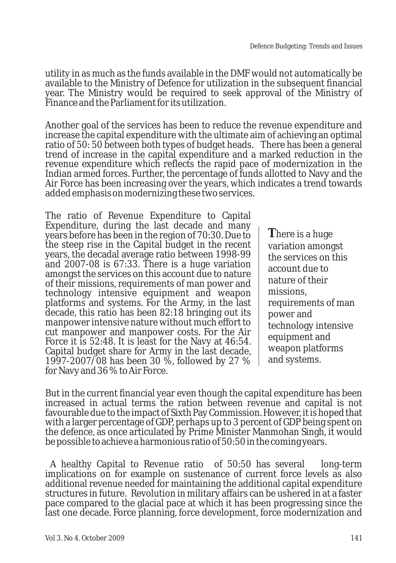utility in as much as the funds available in the DMF would not automatically be available to the Ministry of Defence for utilization in the subsequent financial year. The Ministry would be required to seek approval of the Ministry of Finance and the Parliament for its utilization.

Another goal of the services has been to reduce the revenue expenditure and increase the capital expenditure with the ultimate aim of achieving an optimal ratio of 50: 50 between both types of budget heads. There has been a general trend of increase in the capital expenditure and a marked reduction in the revenue expenditure which reflects the rapid pace of modernization in the Indian armed forces. Further, the percentage of funds allotted to Navy and the Air Force has been increasing over the years, which indicates a trend towards added emphasis on modernizing these two services.

The ratio of Revenue Expenditure to Capital Expenditure, during the last decade and many years before has been in the region of 70:30. Due to the steep rise in the Capital budget in the recent years, the decadal average ratio between 1998-99 and 2007-08 is 67:33. There is a huge variation amongst the services on this account due to nature of their missions, requirements of man power and technology intensive equipment and weapon platforms and systems. For the Army, in the last decade, this ratio has been 82:18 bringing out its manpower intensive nature without much effort to cut manpower and manpower costs. For the Air Force it is 52:48. It is least for the Navy at 46:54. Capital budget share for Army in the last decade, 1997-2007/08 has been 30 %, followed by 27 % for Navy and 36 % to Air Force.

**T**here is a huge variation amongst the services on this account due to nature of their missions, requirements of man power and technology intensive equipment and weapon platforms and systems.

But in the current financial year even though the capital expenditure has been increased in actual terms the ration between revenue and capital is not favourable due to the impact of Sixth Pay Commission. However, it is hoped that with a larger percentage of GDP, perhaps up to 3 percent of GDP being spent on the defence, as once articulated by Prime Minister Manmohan Singh, it would be possible to achieve a harmonious ratio of 50:50 in the coming years.

 A healthy Capital to Revenue ratio of 50:50 has several long-term implications on for example on sustenance of current force levels as also additional revenue needed for maintaining the additional capital expenditure structures in future. Revolution in military affairs can be ushered in at a faster pace compared to the glacial pace at which it has been progressing since the last one decade. Force planning, force development, force modernization and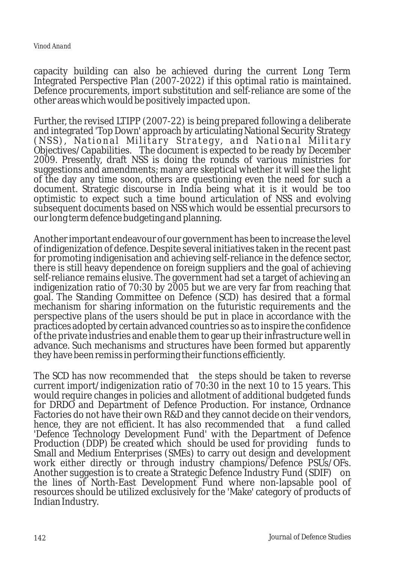capacity building can also be achieved during the current Long Term Integrated Perspective Plan (2007-2022) if this optimal ratio is maintained. Defence procurements, import substitution and self-reliance are some of the other areas which would be positively impacted upon.

Further, the revised LTIPP (2007-22) is being prepared following a deliberate and integrated 'Top Down' approach by articulating National Security Strategy (NSS), National Military Strategy, and National Military Objectives/Capabilities. The document is expected to be ready by December 2009. Presently, draft NSS is doing the rounds of various ministries for suggestions and amendments; many are skeptical whether it will see the light of the day any time soon, others are questioning even the need for such a document. Strategic discourse in India being what it is it would be too optimistic to expect such a time bound articulation of NSS and evolving subsequent documents based on NSS which would be essential precursors to our long term defence budgeting and planning.

Another important endeavour of our government has been to increase the level of indigenization of defence. Despite several initiatives taken in the recent past for promoting indigenisation and achieving self-reliance in the defence sector, there is still heavy dependence on foreign suppliers and the goal of achieving self-reliance remains elusive. The government had set a target of achieving an indigenization ratio of 70:30 by 2005 but we are very far from reaching that goal. The Standing Committee on Defence (SCD) has desired that a formal mechanism for sharing information on the futuristic requirements and the perspective plans of the users should be put in place in accordance with the practices adopted by certain advanced countries so as to inspire the confidence of the private industries and enable them to gear up their infrastructure well in advance. Such mechanisms and structures have been formed but apparently they have been remiss in performing their functions efficiently.

The SCD has now recommended that the steps should be taken to reverse current import/indigenization ratio of 70:30 in the next 10 to 15 years. This would require changes in policies and allotment of additional budgeted funds for DRDO and Department of Defence Production. For instance, Ordnance Factories do not have their own R&D and they cannot decide on their vendors, hence, they are not efficient. It has also recommended that a fund called 'Defence Technology Development Fund' with the Department of Defence Production (DDP) be created which should be used for providing funds to Small and Medium Enterprises (SMEs) to carry out design and development work either directly or through industry champions/Defence PSUs/OFs. Another suggestion is to create a Strategic Defence Industry Fund (SDIF) on the lines of North-East Development Fund where non-lapsable pool of resources should be utilized exclusively for the 'Make' category of products of Indian Industry.